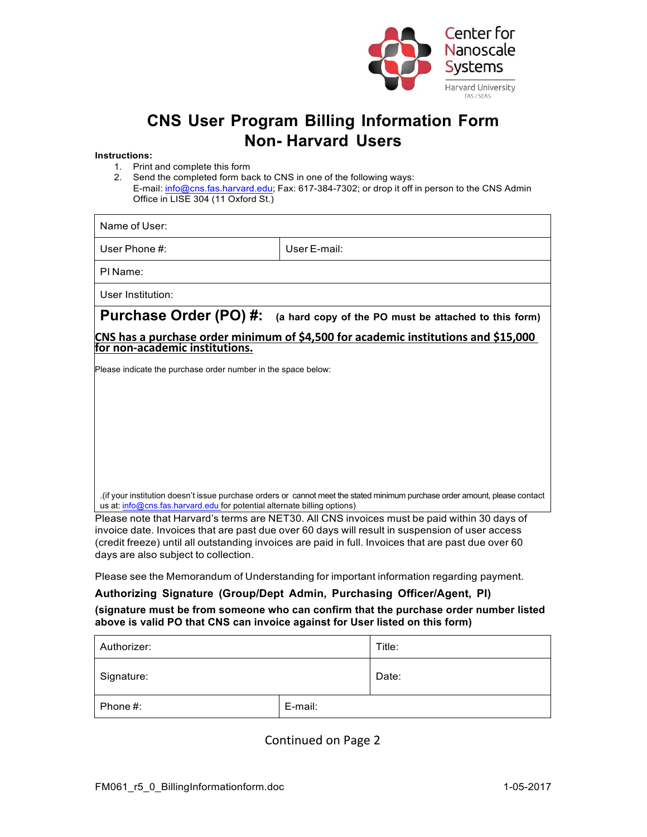

## **CNS User Program Billing Information Form Non- Harvard Users**

## **Instructions:**

- 1. Print and complete this form
- 2. Send the completed form back to CNS in one of the following ways: E-mail: info@cns.fas.harvard.edu; Fax: 617-384-7302; or drop it off in person to the CNS Admin Office in LISE 304 (11 Oxford St.)

| Name of User:                                                                                                        |                                                                                                                                                                                                                                |  |
|----------------------------------------------------------------------------------------------------------------------|--------------------------------------------------------------------------------------------------------------------------------------------------------------------------------------------------------------------------------|--|
| User Phone $\#$ :                                                                                                    | User F-mail:                                                                                                                                                                                                                   |  |
| PI Name:                                                                                                             |                                                                                                                                                                                                                                |  |
| User Institution:                                                                                                    |                                                                                                                                                                                                                                |  |
| Purchase Order (PO) #:                                                                                               | (a hard copy of the PO must be attached to this form)                                                                                                                                                                          |  |
| CNS has a purchase order minimum of \$4,500 for academic institutions and \$15,000<br>for non-academic institutions. |                                                                                                                                                                                                                                |  |
| Please indicate the purchase order number in the space below:                                                        |                                                                                                                                                                                                                                |  |
|                                                                                                                      |                                                                                                                                                                                                                                |  |
|                                                                                                                      |                                                                                                                                                                                                                                |  |
|                                                                                                                      |                                                                                                                                                                                                                                |  |
|                                                                                                                      |                                                                                                                                                                                                                                |  |
|                                                                                                                      |                                                                                                                                                                                                                                |  |
| us at: info@cns.fas.harvard.edu for potential alternate billing options)                                             | lif your institution doesn't issue purchase orders or cannot meet the stated minimum purchase order amount, please contact (if your institution doesn't issue purchase orders or cannot meet the stated minimum purchase order |  |
|                                                                                                                      | Please note that Harvard's terms are NET30. All CNS invoices must be paid within 30 days of                                                                                                                                    |  |

invoice date. Invoices that are past due over 60 days will result in suspension of user access (credit freeze) until all outstanding invoices are paid in full. Invoices that are past due over 60 days are also subject to collection.

Please see the Memorandum of Understanding for important information regarding payment.

## **Authorizing Signature (Group/Dept Admin, Purchasing Officer/Agent, PI) (signature must be from someone who can confirm that the purchase order number listed above is valid PO that CNS can invoice against for User listed on this form)**

| Authorizer: |         | Title: |
|-------------|---------|--------|
| Signature:  |         | Date:  |
| Phone #:    | E-mail: |        |

Continued on Page 2